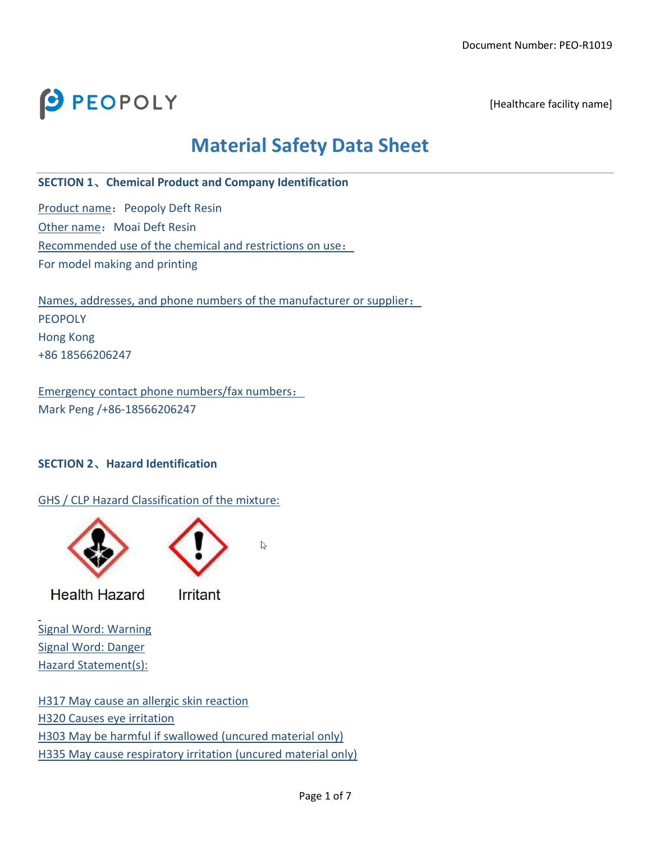

[Healthcare facility name]

# **Material Safety Data Sheet**

### **SECTION 1**、**Chemical Product and Company Identification**

Product name: Peopoly Deft Resin Other name: Moai Deft Resin Recommended use of the chemical and restrictions on use: For model making and printing

Names, addresses, and phone numbers of the manufacturer or supplier: PEOPOLY Hong Kong +86 18566206247

Emergency contact phone numbers/fax numbers: Mark Peng /+86-18566206247

# **SECTION 2**、**Hazard Identification**

GHS / CLP Hazard Classification of the mixture:



**Health Hazard** 

**Irritant** 

 $\sum$ 

Signal Word: Warning Signal Word: Danger Hazard Statement(s):

H317 May cause an allergic skin reaction H320 Causes eye irritation H303 May be harmful if swallowed (uncured material only) H335 May cause respiratory irritation (uncured material only)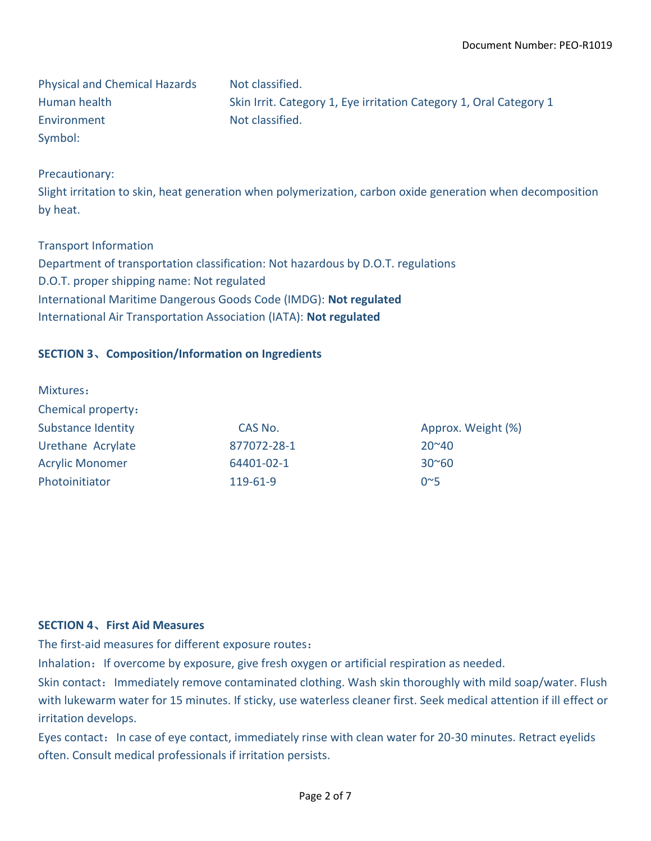Physical and Chemical Hazards Not classified. Human health Skin Irrit. Category 1, Eye irritation Category 1, Oral Category 1 Environment Not classified. Symbol:

### Precautionary:

Slight irritation to skin, heat generation when polymerization, carbon oxide generation when decomposition by heat.

#### Transport Information

Department of transportation classification: Not hazardous by D.O.T. regulations D.O.T. proper shipping name: Not regulated International Maritime Dangerous Goods Code (IMDG): **Not regulated** International Air Transportation Association (IATA): **Not regulated**

# **SECTION 3**、**Composition/Information on Ingredients**

| Mixtures:                 |             |                    |
|---------------------------|-------------|--------------------|
| Chemical property:        |             |                    |
| <b>Substance Identity</b> | CAS No.     | Approx. Weight (%) |
| Urethane Acrylate         | 877072-28-1 | $20^{\circ}40$     |
| <b>Acrylic Monomer</b>    | 64401-02-1  | $30^{\circ}60$     |
| Photoinitiator            | 119-61-9    | 0 <sup>5</sup>     |

#### **SECTION 4**、**First Aid Measures**

The first-aid measures for different exposure routes:

Inhalation: If overcome by exposure, give fresh oxygen or artificial respiration as needed.

Skin contact: Immediately remove contaminated clothing. Wash skin thoroughly with mild soap/water. Flush with lukewarm water for 15 minutes. If sticky, use waterless cleaner first. Seek medical attention if ill effect or irritation develops.

Eyes contact: In case of eye contact, immediately rinse with clean water for 20-30 minutes. Retract eyelids often. Consult medical professionals if irritation persists.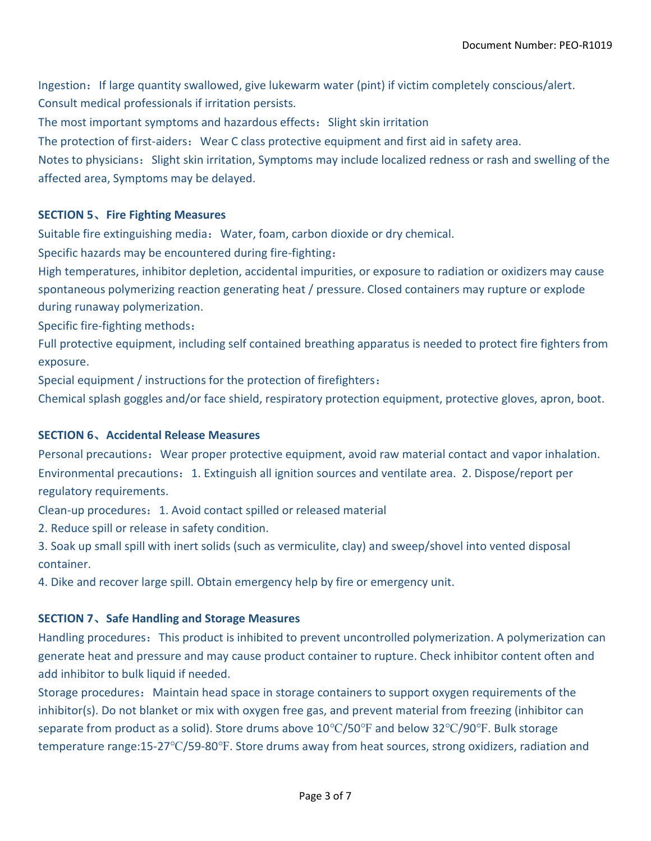Ingestion: If large quantity swallowed, give lukewarm water (pint) if victim completely conscious/alert. Consult medical professionals if irritation persists.

The most important symptoms and hazardous effects: Slight skin irritation

The protection of first-aiders: Wear C class protective equipment and first aid in safety area.

Notes to physicians: Slight skin irritation, Symptoms may include localized redness or rash and swelling of the affected area, Symptoms may be delayed.

# **SECTION 5**、**Fire Fighting Measures**

Suitable fire extinguishing media: Water, foam, carbon dioxide or dry chemical.

Specific hazards may be encountered during fire-fighting:

High temperatures, inhibitor depletion, accidental impurities, or exposure to radiation or oxidizers may cause spontaneous polymerizing reaction generating heat / pressure. Closed containers may rupture or explode during runaway polymerization.

Specific fire-fighting methods:

Full protective equipment, including self contained breathing apparatus is needed to protect fire fighters from exposure.

Special equipment / instructions for the protection of firefighters:

Chemical splash goggles and/or face shield, respiratory protection equipment, protective gloves, apron, boot.

#### **SECTION 6**、**Accidental Release Measures**

Personal precautions: Wear proper protective equipment, avoid raw material contact and vapor inhalation. Environmental precautions:1. Extinguish all ignition sources and ventilate area. 2. Dispose/report per regulatory requirements.

Clean-up procedures:1. Avoid contact spilled or released material

2. Reduce spill or release in safety condition.

3. Soak up small spill with inert solids (such as vermiculite, clay) and sweep/shovel into vented disposal container.

4. Dike and recover large spill. Obtain emergency help by fire or emergency unit.

#### **SECTION 7**、**Safe Handling and Storage Measures**

Handling procedures: This product is inhibited to prevent uncontrolled polymerization. A polymerization can generate heat and pressure and may cause product container to rupture. Check inhibitor content often and add inhibitor to bulk liquid if needed.

Storage procedures: Maintain head space in storage containers to support oxygen requirements of the inhibitor(s). Do not blanket or mix with oxygen free gas, and prevent material from freezing (inhibitor can separate from product as a solid). Store drums above 10℃/50℉ and below 32℃/90℉. Bulk storage temperature range:15-27℃/59-80°F. Store drums away from heat sources, strong oxidizers, radiation and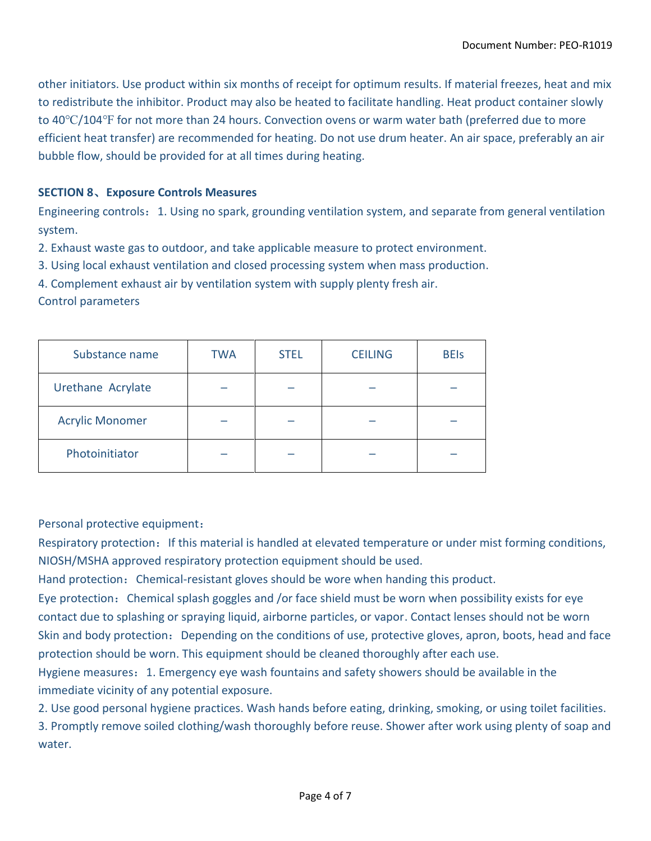other initiators. Use product within six months of receipt for optimum results. If material freezes, heat and mix to redistribute the inhibitor. Product may also be heated to facilitate handling. Heat product container slowly to 40℃/104℉ for not more than 24 hours. Convection ovens or warm water bath (preferred due to more efficient heat transfer) are recommended for heating. Do not use drum heater. An air space, preferably an air bubble flow, should be provided for at all times during heating.

# **SECTION 8**、**Exposure Controls Measures**

Engineering controls: 1. Using no spark, grounding ventilation system, and separate from general ventilation system.

2. Exhaust waste gas to outdoor, and take applicable measure to protect environment.

3. Using local exhaust ventilation and closed processing system when mass production.

4. Complement exhaust air by ventilation system with supply plenty fresh air.

#### Control parameters

| Substance name         | <b>TWA</b> | <b>STEL</b> | <b>CEILING</b> | <b>BEIs</b> |
|------------------------|------------|-------------|----------------|-------------|
| Urethane Acrylate      |            |             |                |             |
| <b>Acrylic Monomer</b> |            |             |                |             |
| Photoinitiator         |            |             |                |             |

Personal protective equipment:

Respiratory protection: If this material is handled at elevated temperature or under mist forming conditions, NIOSH/MSHA approved respiratory protection equipment should be used.

Hand protection: Chemical-resistant gloves should be wore when handing this product.

Eye protection: Chemical splash goggles and /or face shield must be worn when possibility exists for eye contact due to splashing or spraying liquid, airborne particles, or vapor. Contact lenses should not be worn Skin and body protection: Depending on the conditions of use, protective gloves, apron, boots, head and face protection should be worn. This equipment should be cleaned thoroughly after each use.

Hygiene measures: 1. Emergency eye wash fountains and safety showers should be available in the immediate vicinity of any potential exposure.

2. Use good personal hygiene practices. Wash hands before eating, drinking, smoking, or using toilet facilities.

3. Promptly remove soiled clothing/wash thoroughly before reuse. Shower after work using plenty of soap and water.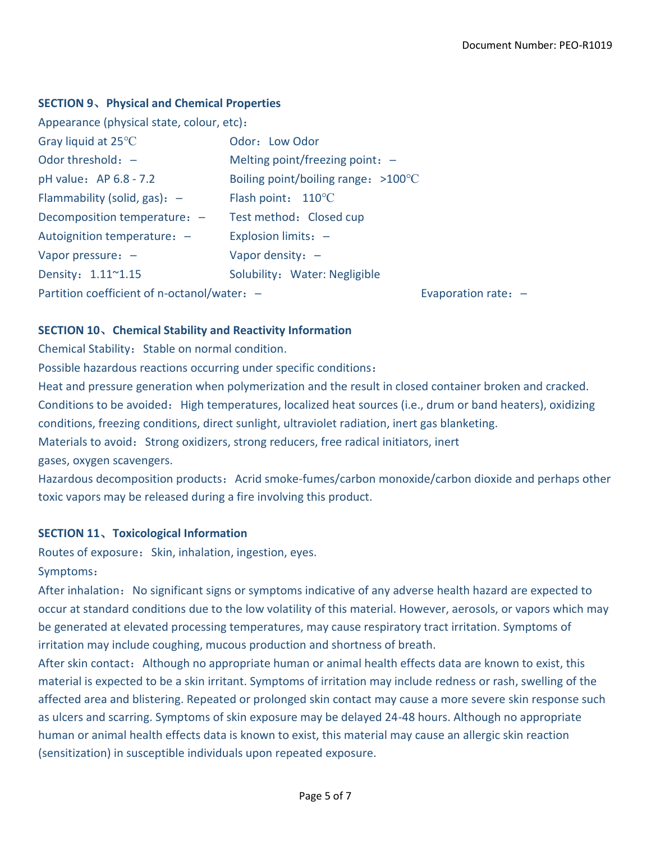### **SECTION 9**、**Physical and Chemical Properties**

| Appearance (physical state, colour, etc):   |                                               |  |  |  |
|---------------------------------------------|-----------------------------------------------|--|--|--|
| Gray liquid at $25^{\circ}$ C               | Odor: Low Odor                                |  |  |  |
| Odor threshold: $-$                         | Melting point/freezing point: $-$             |  |  |  |
| pH value: AP 6.8 - 7.2                      | Boiling point/boiling range: $>100^{\circ}$ C |  |  |  |
| Flammability (solid, gas): $-$              | Flash point: $110^{\circ}$ C                  |  |  |  |
| Decomposition temperature: -                | Test method: Closed cup                       |  |  |  |
| Autoignition temperature: -                 | Explosion limits: -                           |  |  |  |
| Vapor pressure: $-$                         | Vapor density: $-$                            |  |  |  |
| Density: 1.11~1.15                          | Solubility: Water: Negligible                 |  |  |  |
| Partition coefficient of n-octanol/water: - | Evaporation rate: $-$                         |  |  |  |

# **SECTION 10**、**Chemical Stability and Reactivity Information**

Chemical Stability: Stable on normal condition.

Possible hazardous reactions occurring under specific conditions:

Heat and pressure generation when polymerization and the result in closed container broken and cracked.

Conditions to be avoided: High temperatures, localized heat sources (i.e., drum or band heaters), oxidizing

conditions, freezing conditions, direct sunlight, ultraviolet radiation, inert gas blanketing.

Materials to avoid: Strong oxidizers, strong reducers, free radical initiators, inert

gases, oxygen scavengers.

Hazardous decomposition products: Acrid smoke-fumes/carbon monoxide/carbon dioxide and perhaps other toxic vapors may be released during a fire involving this product.

# **SECTION 11**、**Toxicological Information**

Routes of exposure: Skin, inhalation, ingestion, eyes. Symptoms:

After inhalation: No significant signs or symptoms indicative of any adverse health hazard are expected to occur at standard conditions due to the low volatility of this material. However, aerosols, or vapors which may be generated at elevated processing temperatures, may cause respiratory tract irritation. Symptoms of irritation may include coughing, mucous production and shortness of breath.

After skin contact: Although no appropriate human or animal health effects data are known to exist, this material is expected to be a skin irritant. Symptoms of irritation may include redness or rash, swelling of the affected area and blistering. Repeated or prolonged skin contact may cause a more severe skin response such as ulcers and scarring. Symptoms of skin exposure may be delayed 24-48 hours. Although no appropriate human or animal health effects data is known to exist, this material may cause an allergic skin reaction (sensitization) in susceptible individuals upon repeated exposure.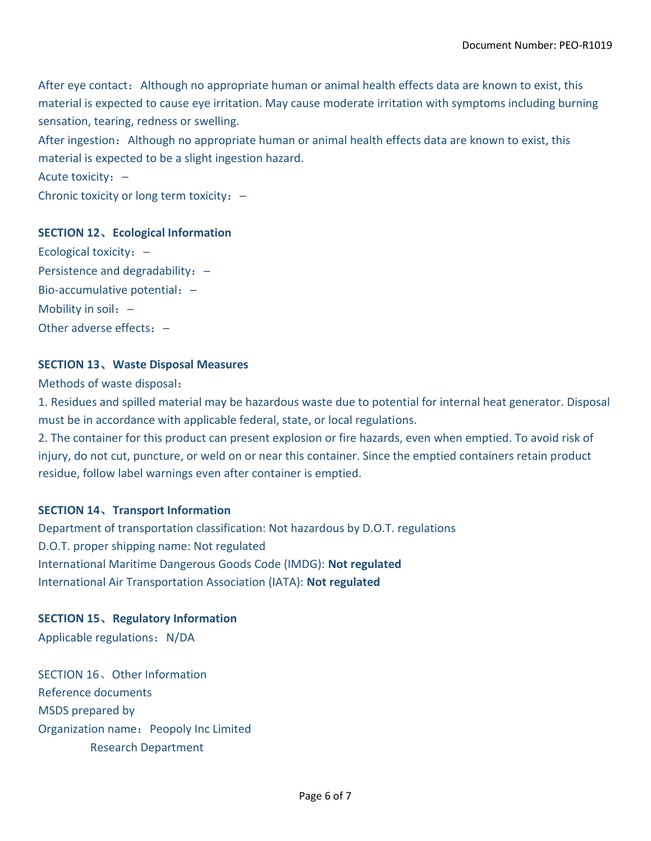After eye contact: Although no appropriate human or animal health effects data are known to exist, this material is expected to cause eye irritation. May cause moderate irritation with symptoms including burning sensation, tearing, redness or swelling.

After ingestion: Although no appropriate human or animal health effects data are known to exist, this material is expected to be a slight ingestion hazard.

Acute toxicity: -

Chronic toxicity or long term toxicity: -

#### **SECTION 12**、**Ecological Information**

Ecological toxicity: -Persistence and degradability: -Bio-accumulative potential: -Mobility in soil: -Other adverse effects: -

#### **SECTION 13**、**Waste Disposal Measures**

Methods of waste disposal:

1. Residues and spilled material may be hazardous waste due to potential for internal heat generator. Disposal must be in accordance with applicable federal, state, or local regulations.

2. The container for this product can present explosion or fire hazards, even when emptied. To avoid risk of injury, do not cut, puncture, or weld on or near this container. Since the emptied containers retain product residue, follow label warnings even after container is emptied.

#### **SECTION 14**、**Transport Information**

Department of transportation classification: Not hazardous by D.O.T. regulations D.O.T. proper shipping name: Not regulated International Maritime Dangerous Goods Code (IMDG): **Not regulated** International Air Transportation Association (IATA): **Not regulated**

**SECTION 15**、**Regulatory Information** 

Applicable regulations: N/DA

SECTION 16、Other Information Reference documents MSDS prepared by Organization name: Peopoly Inc Limited Research Department